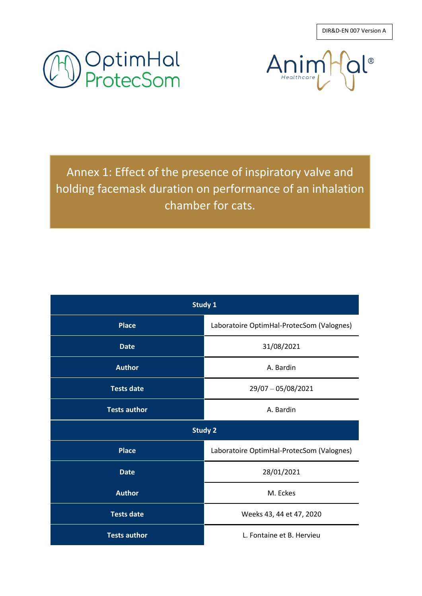DIR&D-EN 007 Version A





Annex 1: Effect of the presence of inspiratory valve and holding facemask duration on performance of an inhalation chamber for cats.

| Study 1             |                                           |  |
|---------------------|-------------------------------------------|--|
| <b>Place</b>        | Laboratoire OptimHal-ProtecSom (Valognes) |  |
| <b>Date</b>         | 31/08/2021                                |  |
| <b>Author</b>       | A. Bardin                                 |  |
| <b>Tests date</b>   | 29/07 - 05/08/2021                        |  |
| <b>Tests author</b> | A. Bardin                                 |  |
| <b>Study 2</b>      |                                           |  |
| <b>Place</b>        | Laboratoire OptimHal-ProtecSom (Valognes) |  |
| <b>Date</b>         | 28/01/2021                                |  |
| <b>Author</b>       | M. Eckes                                  |  |
| <b>Tests date</b>   | Weeks 43, 44 et 47, 2020                  |  |
| <b>Tests author</b> | L. Fontaine et B. Hervieu                 |  |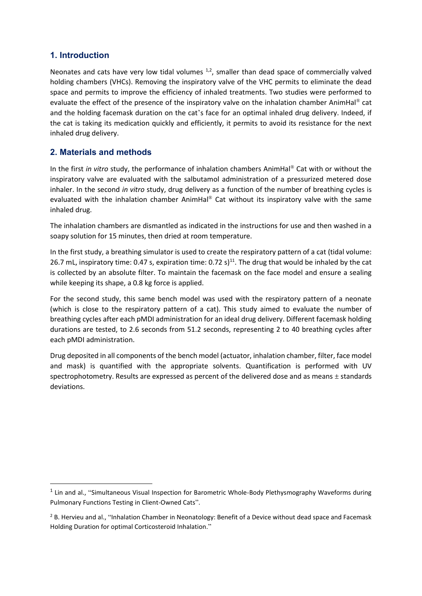# **1. Introduction**

Neonates and cats have very low tidal volumes  $1,2$ , smaller than dead space of commercially valved holding chambers (VHCs). Removing the inspiratory valve of the VHC permits to eliminate the dead space and permits to improve the efficiency of inhaled treatments. Two studies were performed to evaluate the effect of the presence of the inspiratory valve on the inhalation chamber AnimHal<sup>®</sup> cat and the holding facemask duration on the cat's face for an optimal inhaled drug delivery. Indeed, if the cat is taking its medication quickly and efficiently, it permits to avoid its resistance for the next inhaled drug delivery.

# **2. Materials and methods**

In the first *in vitro* study, the performance of inhalation chambers AnimHal® Cat with or without the inspiratory valve are evaluated with the salbutamol administration of a pressurized metered dose inhaler. In the second *in vitro* study, drug delivery as a function of the number of breathing cycles is evaluated with the inhalation chamber AnimHal® Cat without its inspiratory valve with the same inhaled drug.

The inhalation chambers are dismantled as indicated in the instructions for use and then washed in a soapy solution for 15 minutes, then dried at room temperature.

In the first study, a breathing simulator is used to create the respiratory pattern of a cat (tidal volume: 26.7 mL, inspiratory time: 0.47 s, expiration time: 0.72 s)<sup>11</sup>. The drug that would be inhaled by the cat is collected by an absolute filter. To maintain the facemask on the face model and ensure a sealing while keeping its shape, a 0.8 kg force is applied.

For the second study, this same bench model was used with the respiratory pattern of a neonate (which is close to the respiratory pattern of a cat). This study aimed to evaluate the number of breathing cycles after each pMDI administration for an ideal drug delivery. Different facemask holding durations are tested, to 2.6 seconds from 51.2 seconds, representing 2 to 40 breathing cycles after each pMDI administration.

Drug deposited in all components of the bench model (actuator, inhalation chamber, filter, face model and mask) is quantified with the appropriate solvents. Quantification is performed with UV spectrophotometry. Results are expressed as percent of the delivered dose and as means  $\pm$  standards deviations.

<sup>&</sup>lt;sup>1</sup> Lin and al., "Simultaneous Visual Inspection for Barometric Whole-Body Plethysmography Waveforms during Pulmonary Functions Testing in Client-Owned Cats".

<sup>&</sup>lt;sup>2</sup> B. Hervieu and al., "Inhalation Chamber in Neonatology: Benefit of a Device without dead space and Facemask Holding Duration for optimal Corticosteroid Inhalation."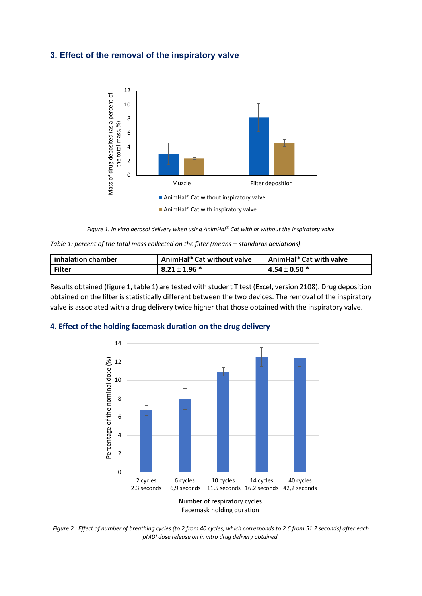### **3. Effect of the removal of the inspiratory valve**



*Figure 1: In vitro aerosol delivery when using AnimHal® Cat with or without the inspiratory valve*

*Table 1: percent of the total mass collected on the filter (means*  $\pm$  *standards deviations).* 

| inhalation chamber | AnimHal® Cat without valve | AnimHal <sup>®</sup> Cat with valve |
|--------------------|----------------------------|-------------------------------------|
| <b>Filter</b>      | $8.21 \pm 1.96$ *          | $4.54 \pm 0.50$ *                   |

Results obtained (figure 1, table 1) are tested with student T test (Excel, version 2108). Drug deposition obtained on the filter is statistically different between the two devices. The removal of the inspiratory valve is associated with a drug delivery twice higher that those obtained with the inspiratory valve.

#### **4. Effect of the holding facemask duration on the drug delivery**



*Figure 2 : Effect of number of breathing cycles (to 2 from 40 cycles, which corresponds to 2.6 from 51.2 seconds) after each pMDI dose release on in vitro drug delivery obtained.*